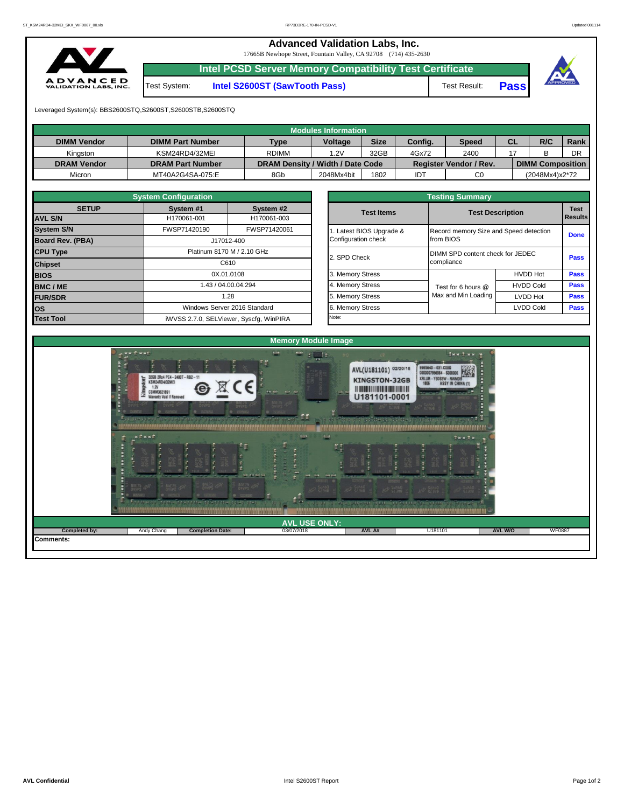**Advanced Validation Labs, Inc.** 

17665B Newhope Street, Fountain Valley, CA 92708 (714) 435-2630



**Intel PCSD Server Memory Compatibility Test Certificate**

Test System: **Intel S2600ST (SawTooth Pass)** Test Result: **Pass**





Leveraged System(s): BBS2600STQ,S2600ST,S2600STB,S2600STQ

|                    |                         |                                  | Modules Information |             |         |                               |           |                         |      |
|--------------------|-------------------------|----------------------------------|---------------------|-------------|---------|-------------------------------|-----------|-------------------------|------|
| <b>DIMM Vendor</b> | <b>DIMM Part Number</b> | <b>Type</b>                      | <b>Voltage</b>      | <b>Size</b> | Config. | <b>Speed</b>                  | <b>CL</b> | R/C                     | Rank |
| Kinaston           | KSM24RD4/32MEI          | <b>RDIMM</b>                     | 1.2V                | 32GB        | 4Gx72   | 2400                          |           |                         | DR   |
| <b>DRAM Vendor</b> | <b>DRAM Part Number</b> | DRAM Density / Width / Date Code |                     |             |         | <b>Register Vendor / Rev.</b> |           | <b>DIMM Composition</b> |      |
| Micron             | MT40A2G4SA-075:E        | 8Gb                              | 2048Mx4bit          | 1802        | IDT     | C <sub>0</sub>                |           | (2048Mx4)x2*72          |      |

|                                               | <b>System Configuration</b> |                                         |                                  |                          |                                        |                         |                  |  |
|-----------------------------------------------|-----------------------------|-----------------------------------------|----------------------------------|--------------------------|----------------------------------------|-------------------------|------------------|--|
| <b>SETUP</b>                                  | System #1                   | System #2                               |                                  | <b>Test Items</b>        |                                        | <b>Test Description</b> | <b>Test</b>      |  |
| <b>AVL S/N</b>                                | H170061-001                 | H170061-003                             |                                  |                          |                                        |                         | <b>I</b> Results |  |
| <b>System S/N</b>                             | FWSP71420190                | FWSP71420061                            |                                  | 1. Latest BIOS Upgrade & | Record memory Size and Speed detection |                         | <b>Done</b>      |  |
| <b>Board Rev. (PBA)</b>                       |                             | J17012-400                              |                                  | Configuration check      | from BIOS                              |                         |                  |  |
| <b>CPU Type</b><br>Platinum 8170 M / 2.10 GHz |                             | 2. SPD Check                            | DIMM SPD content check for JEDEC | <b>Pass</b>              |                                        |                         |                  |  |
| <b>Chipset</b>                                |                             | C610                                    |                                  |                          | compliance                             |                         |                  |  |
| <b>BIOS</b>                                   |                             | 0X.01.0108                              |                                  | 3. Memory Stress         |                                        | <b>HVDD Hot</b>         | Pass             |  |
| <b>BMC/ME</b>                                 |                             | 1.43 / 04.00.04.294                     |                                  | 4. Memory Stress         | Test for 6 hours @                     | <b>HVDD Cold</b>        | <b>Pass</b>      |  |
| <b>FUR/SDR</b>                                |                             | 1.28                                    |                                  | 5. Memory Stress         | Max and Min Loading                    | <b>LVDD Hot</b>         | <b>Pass</b>      |  |
| los                                           |                             | Windows Server 2016 Standard            |                                  | 6. Memory Stress         |                                        | <b>LVDD Cold</b>        | <b>Pass</b>      |  |
| <b>Test Tool</b>                              |                             | iWVSS 2.7.0, SELViewer, Syscfg, WinPIRA |                                  | Note:                    |                                        |                         |                  |  |

|              | <b>System Configuration</b> |                                    | <b>Testing Summary</b> |                                        |                                                |             |  |  |  |  |  |
|--------------|-----------------------------|------------------------------------|------------------------|----------------------------------------|------------------------------------------------|-------------|--|--|--|--|--|
| <b>SETUP</b> | System #1                   | System #2                          |                        |                                        | <b>Test Description</b>                        |             |  |  |  |  |  |
|              | H170061-001                 | H170061-003                        | <b>Test Items</b>      |                                        |                                                |             |  |  |  |  |  |
|              | FWSP71420190                | FWSP71420061                       | Latest BIOS Upgrade &  | Record memory Size and Speed detection |                                                | <b>Done</b> |  |  |  |  |  |
| PBA)         |                             | J17012-400                         | Configuration check    | from BIOS                              |                                                |             |  |  |  |  |  |
|              |                             | Platinum 8170 M / 2.10 GHz         | 2. SPD Check           |                                        | DIMM SPD content check for JEDEC<br>compliance |             |  |  |  |  |  |
|              |                             | C610                               |                        |                                        |                                                |             |  |  |  |  |  |
|              |                             | 0X.01.0108                         | 3. Memory Stress       |                                        | <b>HVDD Hot</b>                                | <b>Pass</b> |  |  |  |  |  |
|              |                             | 1.43 / 04.00.04.294                | 4. Memory Stress       | Test for 6 hours @                     | <b>HVDD Cold</b>                               | Pass        |  |  |  |  |  |
|              |                             | 1.28                               | 5. Memory Stress       | Max and Min Loading                    | LVDD Hot                                       | Pass        |  |  |  |  |  |
|              |                             | Windows Server 2016 Standard       | 6. Memory Stress       |                                        | <b>LVDD Cold</b>                               | Pass        |  |  |  |  |  |
|              |                             | iMVSS 270 SELViewer Svecta WinPIRA | Note:                  |                                        |                                                |             |  |  |  |  |  |